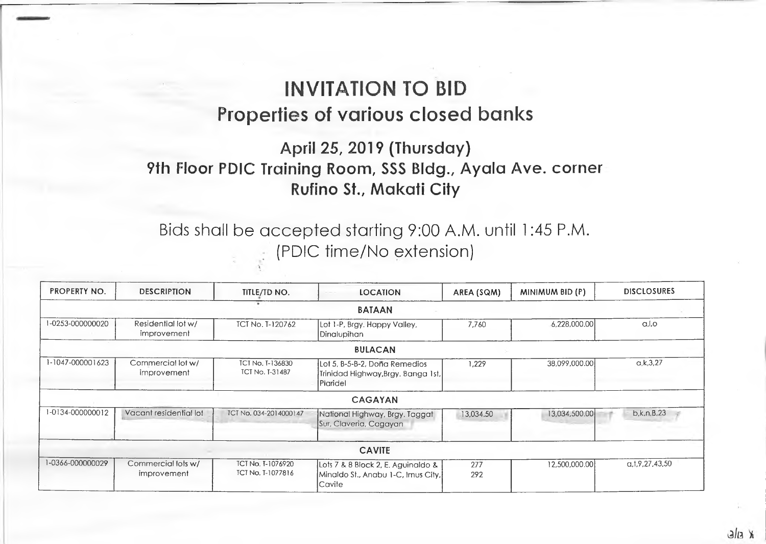## **INVITATION TO BID Properties of various closed banks**

## **April 25, 2019 (Thursday) 9th Floor PDIC Training Room, SSS Bldg., Ayala Ave. corner Rufino St., Makati City**

## Bids shall be accepted starting 9:00 A.M. until 1:45 P.M. (PDIC time/No extension)

| PROPERTY NO.     | <b>DESCRIPTION</b>                | TITLE/TD NO.                                  | <b>LOCATION</b>                                                                     | AREA (SQM) | MINIMUM BID (P) | <b>DISCLOSURES</b>  |
|------------------|-----------------------------------|-----------------------------------------------|-------------------------------------------------------------------------------------|------------|-----------------|---------------------|
|                  |                                   |                                               | <b>BATAAN</b>                                                                       |            |                 |                     |
| 1-0253-000000020 | Residential lot w/<br>improvement | <b>ICI No. T-120762</b>                       | Lot 1-P, Brgy. Happy Valley,<br>Dinalupihan                                         | 7.760      | 6,228,000.00    | a,l,o               |
|                  |                                   |                                               | <b>BULACAN</b>                                                                      |            |                 |                     |
| 1-1047-000001623 | Commercial lot w/<br>improvement  | TCT No. T-136830<br><b>TCT No. T-31487</b>    | Lot 5, B-5-B-2, Dona Remedios<br>Trinidad Highway,Brgy, Banga 1st,<br>Plaridel      | 1,229      | 38,099,000.00   | a, k, 3, 27         |
|                  |                                   |                                               | <b>CAGAYAN</b>                                                                      |            |                 |                     |
| 1-0134-000000012 | Vacant residential lot            | TCT No. 034-2014000147                        | National Highway, Brgy. Taggat<br>Sur, Claveria, Cagayan                            | 13,034.50  | 13,034,500.00   | b,k,n,B,23          |
|                  |                                   |                                               | <b>CAVITE</b>                                                                       |            |                 |                     |
| 1-0366-000000029 | Commercial lots w/<br>improvement | <b>ICI No. I-1076920</b><br>TCT No. T-1077816 | Lots 7 & 8 Block 2, E. Aguinaldo &<br>Minaldo St., Anabu 1-C, Imus City,<br>lCavite | 277<br>292 | 12,500,000.00   | a, 1, 9, 27, 43, 50 |